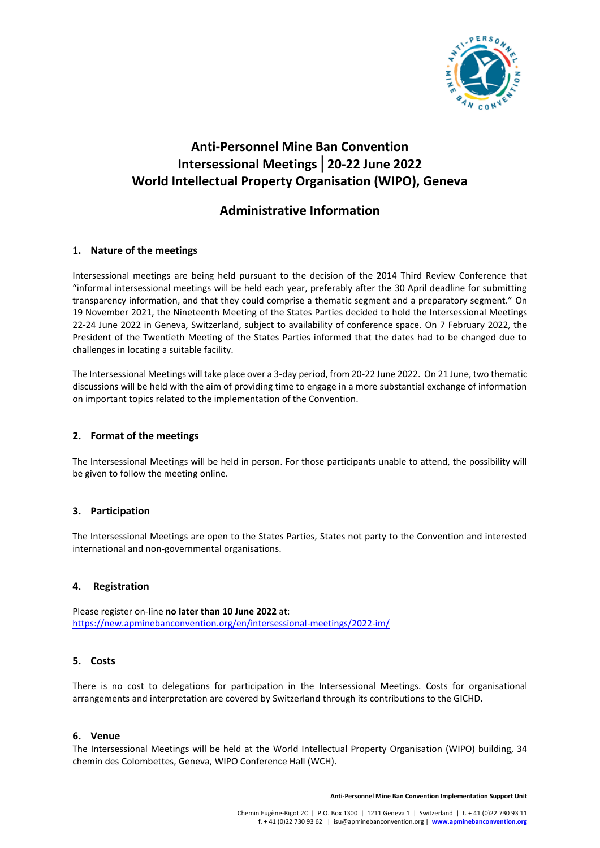

# **Anti-Personnel Mine Ban Convention Intersessional Meetings│20-22 June 2022 World Intellectual Property Organisation (WIPO), Geneva**

## **Administrative Information**

## **1. Nature of the meetings**

Intersessional meetings are being held pursuant to the decision of the 2014 Third Review Conference that "informal intersessional meetings will be held each year, preferably after the 30 April deadline for submitting transparency information, and that they could comprise a thematic segment and a preparatory segment." On 19 November 2021, the Nineteenth Meeting of the States Parties decided to hold the Intersessional Meetings 22-24 June 2022 in Geneva, Switzerland, subject to availability of conference space. On 7 February 2022, the President of the Twentieth Meeting of the States Parties informed that the dates had to be changed due to challenges in locating a suitable facility.

The Intersessional Meetings will take place over a 3-day period, from 20-22 June 2022. On 21 June, two thematic discussions will be held with the aim of providing time to engage in a more substantial exchange of information on important topics related to the implementation of the Convention.

## **2. Format of the meetings**

The Intersessional Meetings will be held in person. For those participants unable to attend, the possibility will be given to follow the meeting online.

## **3. Participation**

The Intersessional Meetings are open to the States Parties, States not party to the Convention and interested international and non-governmental organisations.

#### **4. Registration**

Please register on-line **no later than 10 June 2022** at: <https://new.apminebanconvention.org/en/intersessional-meetings/2022-im/>

## **5. Costs**

There is no cost to delegations for participation in the Intersessional Meetings. Costs for organisational arrangements and interpretation are covered by Switzerland through its contributions to the GICHD.

#### **6. Venue**

The Intersessional Meetings will be held at the World Intellectual Property Organisation (WIPO) building, 34 chemin des Colombettes, Geneva, WIPO Conference Hall (WCH).

**Anti-Personnel Mine Ban Convention Implementation Support Unit**